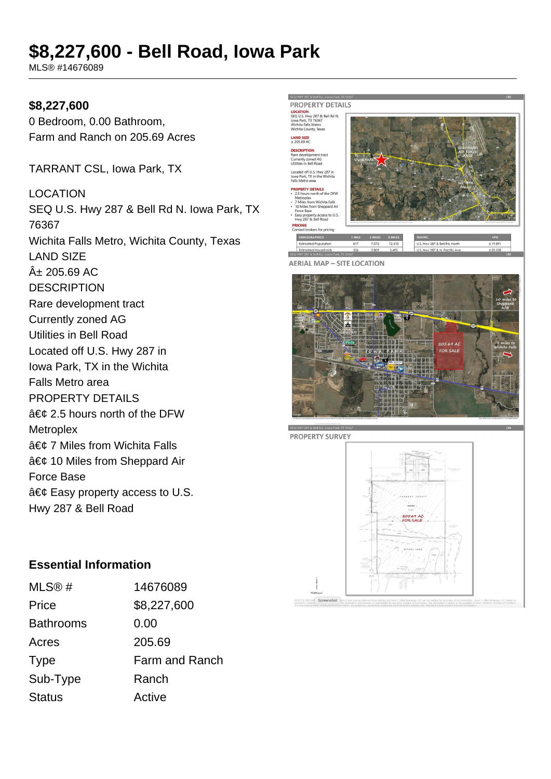# **\$8,227,600 - Bell Road, Iowa Park**

MLS® #14676089

#### **\$8,227,600**

0 Bedroom, 0.00 Bathroom, Farm and Ranch on 205.69 Acres

TARRANT CSL, Iowa Park, TX

LOCATION SEQ U.S. Hwy 287 & Bell Rd N. Iowa Park, TX 76367 Wichita Falls Metro, Wichita County, Texas LAND SIZE  $A_{\pm}$  205.69 AC **DESCRIPTION** Rare development tract Currently zoned AG Utilities in Bell Road Located off U.S. Hwy 287 in Iowa Park, TX in the Wichita Falls Metro area PROPERTY DETAILS  $\hat{a} \in \mathcal{C}$  2.5 hours north of the DFW **Metroplex**  $\hat{a} \in \mathcal{C}$  7 Miles from Wichita Falls  $\hat{a} \in \mathcal{C}$  10 Miles from Sheppard Air Force Base  $\hat{a} \in \emptyset$  Easy property access to U.S. Hwy 287 & Bell Road

#### **PROPERTY DETAILS** LOCATION<br>SEQ U.S. Hwy 287 & Bell Rd N.<br>Jowa Park. TX 76367 rently zoned AG<br>lities in Bell Road ed off U.S. Hwy 287 in<br>Park, TX in the Wichita **ERTY DETAILS**<br>hours north of the DFW лех<br>: from Wichita Fall rs nom wichta rails<br>les from Sheppard Ai irce Base<br>isy property access to U.S.<br>wy 287 & Bell Road tact brokers for pricing **DEMOGRAPHICS** 3 MILES 5 MILES mated Households<br>287.8 Bell Rd - Iowa Pork, TY 7 **AERIAL MAP - SITE LOCATION**





#### **Essential Information**

| MLS@#            | 14676089       |
|------------------|----------------|
| Price            | \$8,227,600    |
| <b>Bathrooms</b> | 0.00           |
| Acres            | 205.69         |
| <b>Type</b>      | Farm and Ranch |
| Sub-Type         | Ranch          |
| <b>Status</b>    | Active         |
|                  |                |